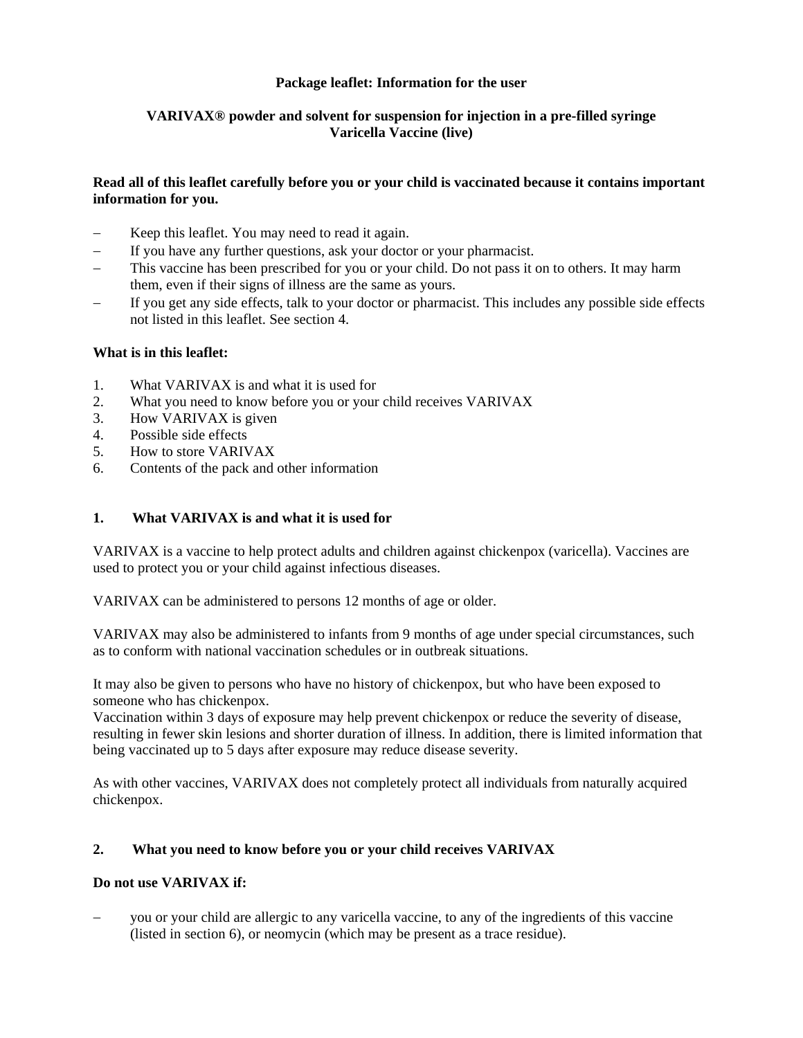# **Package leaflet: Information for the user**

# **VARIVAX® powder and solvent for suspension for injection in a pre-filled syringe Varicella Vaccine (live)**

## **Read all of this leaflet carefully before you or your child is vaccinated because it contains important information for you.**

- Keep this leaflet. You may need to read it again.
- If you have any further questions, ask your doctor or your pharmacist.
- This vaccine has been prescribed for you or your child. Do not pass it on to others. It may harm them, even if their signs of illness are the same as yours.
- If you get any side effects, talk to your doctor or pharmacist. This includes any possible side effects not listed in this leaflet. See section 4.

### **What is in this leaflet:**

- 1. What VARIVAX is and what it is used for
- 2. What you need to know before you or your child receives VARIVAX
- 3. How VARIVAX is given
- 4. Possible side effects
- 5. How to store VARIVAX
- 6. Contents of the pack and other information

# **1. What VARIVAX is and what it is used for**

VARIVAX is a vaccine to help protect adults and children against chickenpox (varicella). Vaccines are used to protect you or your child against infectious diseases.

VARIVAX can be administered to persons 12 months of age or older.

VARIVAX may also be administered to infants from 9 months of age under special circumstances, such as to conform with national vaccination schedules or in outbreak situations.

It may also be given to persons who have no history of chickenpox, but who have been exposed to someone who has chickenpox.

Vaccination within 3 days of exposure may help prevent chickenpox or reduce the severity of disease, resulting in fewer skin lesions and shorter duration of illness. In addition, there is limited information that being vaccinated up to 5 days after exposure may reduce disease severity.

As with other vaccines, VARIVAX does not completely protect all individuals from naturally acquired chickenpox.

### **2. What you need to know before you or your child receives VARIVAX**

### **Do not use VARIVAX if:**

 you or your child are allergic to any varicella vaccine, to any of the ingredients of this vaccine (listed in section 6), or neomycin (which may be present as a trace residue).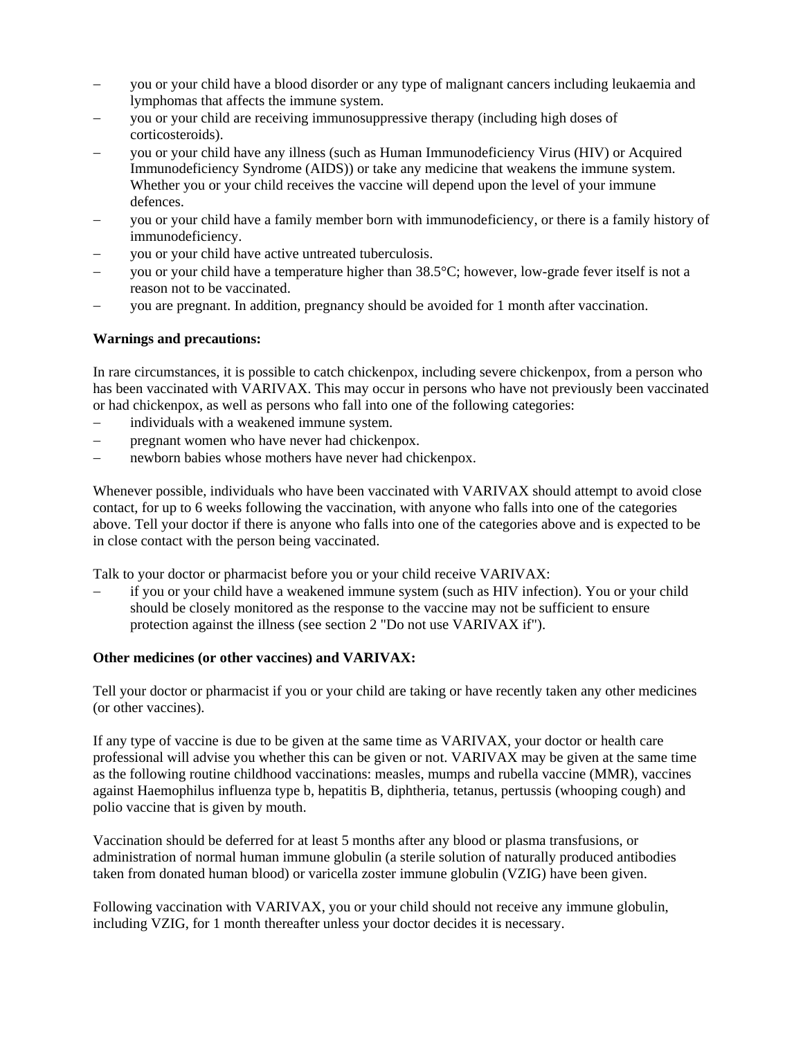- you or your child have a blood disorder or any type of malignant cancers including leukaemia and lymphomas that affects the immune system.
- you or your child are receiving immunosuppressive therapy (including high doses of corticosteroids).
- you or your child have any illness (such as Human Immunodeficiency Virus (HIV) or Acquired Immunodeficiency Syndrome (AIDS)) or take any medicine that weakens the immune system. Whether you or your child receives the vaccine will depend upon the level of your immune defences.
- you or your child have a family member born with immunodeficiency, or there is a family history of immunodeficiency.
- you or your child have active untreated tuberculosis.
- you or your child have a temperature higher than 38.5°C; however, low-grade fever itself is not a reason not to be vaccinated.
- you are pregnant. In addition, pregnancy should be avoided for 1 month after vaccination.

## **Warnings and precautions:**

In rare circumstances, it is possible to catch chickenpox, including severe chickenpox, from a person who has been vaccinated with VARIVAX. This may occur in persons who have not previously been vaccinated or had chickenpox, as well as persons who fall into one of the following categories:

- individuals with a weakened immune system.
- pregnant women who have never had chickenpox.
- newborn babies whose mothers have never had chickenpox.

Whenever possible, individuals who have been vaccinated with VARIVAX should attempt to avoid close contact, for up to 6 weeks following the vaccination, with anyone who falls into one of the categories above. Tell your doctor if there is anyone who falls into one of the categories above and is expected to be in close contact with the person being vaccinated.

Talk to your doctor or pharmacist before you or your child receive VARIVAX:

 if you or your child have a weakened immune system (such as HIV infection). You or your child should be closely monitored as the response to the vaccine may not be sufficient to ensure protection against the illness (see section 2 "Do not use VARIVAX if").

### **Other medicines (or other vaccines) and VARIVAX:**

Tell your doctor or pharmacist if you or your child are taking or have recently taken any other medicines (or other vaccines).

If any type of vaccine is due to be given at the same time as VARIVAX, your doctor or health care professional will advise you whether this can be given or not. VARIVAX may be given at the same time as the following routine childhood vaccinations: measles, mumps and rubella vaccine (MMR), vaccines against Haemophilus influenza type b, hepatitis B, diphtheria, tetanus, pertussis (whooping cough) and polio vaccine that is given by mouth.

Vaccination should be deferred for at least 5 months after any blood or plasma transfusions, or administration of normal human immune globulin (a sterile solution of naturally produced antibodies taken from donated human blood) or varicella zoster immune globulin (VZIG) have been given.

Following vaccination with VARIVAX, you or your child should not receive any immune globulin, including VZIG, for 1 month thereafter unless your doctor decides it is necessary.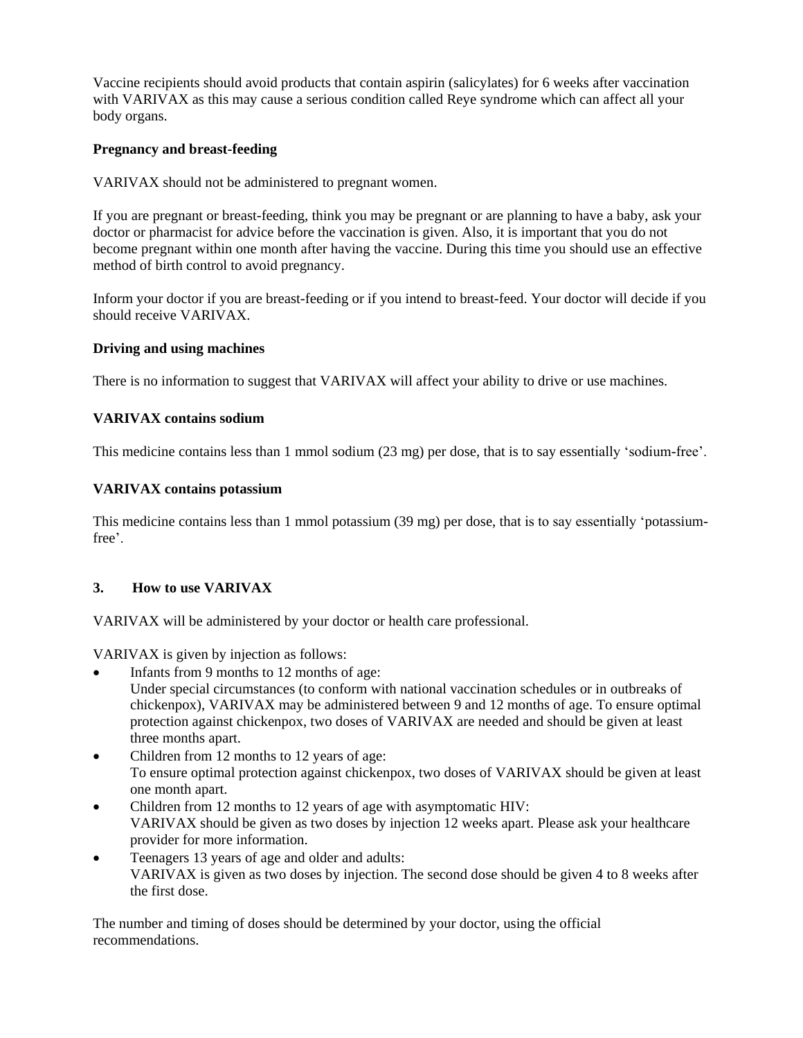Vaccine recipients should avoid products that contain aspirin (salicylates) for 6 weeks after vaccination with VARIVAX as this may cause a serious condition called Reye syndrome which can affect all your body organs.

## **Pregnancy and breast-feeding**

VARIVAX should not be administered to pregnant women.

If you are pregnant or breast-feeding, think you may be pregnant or are planning to have a baby, ask your doctor or pharmacist for advice before the vaccination is given. Also, it is important that you do not become pregnant within one month after having the vaccine. During this time you should use an effective method of birth control to avoid pregnancy.

Inform your doctor if you are breast-feeding or if you intend to breast-feed. Your doctor will decide if you should receive VARIVAX.

## **Driving and using machines**

There is no information to suggest that VARIVAX will affect your ability to drive or use machines.

## **VARIVAX contains sodium**

This medicine contains less than 1 mmol sodium (23 mg) per dose, that is to say essentially 'sodium-free'.

## **VARIVAX contains potassium**

This medicine contains less than 1 mmol potassium (39 mg) per dose, that is to say essentially 'potassiumfree'.

# **3. How to use VARIVAX**

VARIVAX will be administered by your doctor or health care professional.

VARIVAX is given by injection as follows:

- Infants from 9 months to 12 months of age: Under special circumstances (to conform with national vaccination schedules or in outbreaks of chickenpox), VARIVAX may be administered between 9 and 12 months of age. To ensure optimal protection against chickenpox, two doses of VARIVAX are needed and should be given at least three months apart.
- Children from 12 months to 12 years of age: To ensure optimal protection against chickenpox, two doses of VARIVAX should be given at least one month apart.
- Children from 12 months to 12 years of age with asymptomatic HIV: VARIVAX should be given as two doses by injection 12 weeks apart. Please ask your healthcare provider for more information.
- Teenagers 13 years of age and older and adults: VARIVAX is given as two doses by injection. The second dose should be given 4 to 8 weeks after the first dose.

The number and timing of doses should be determined by your doctor, using the official recommendations.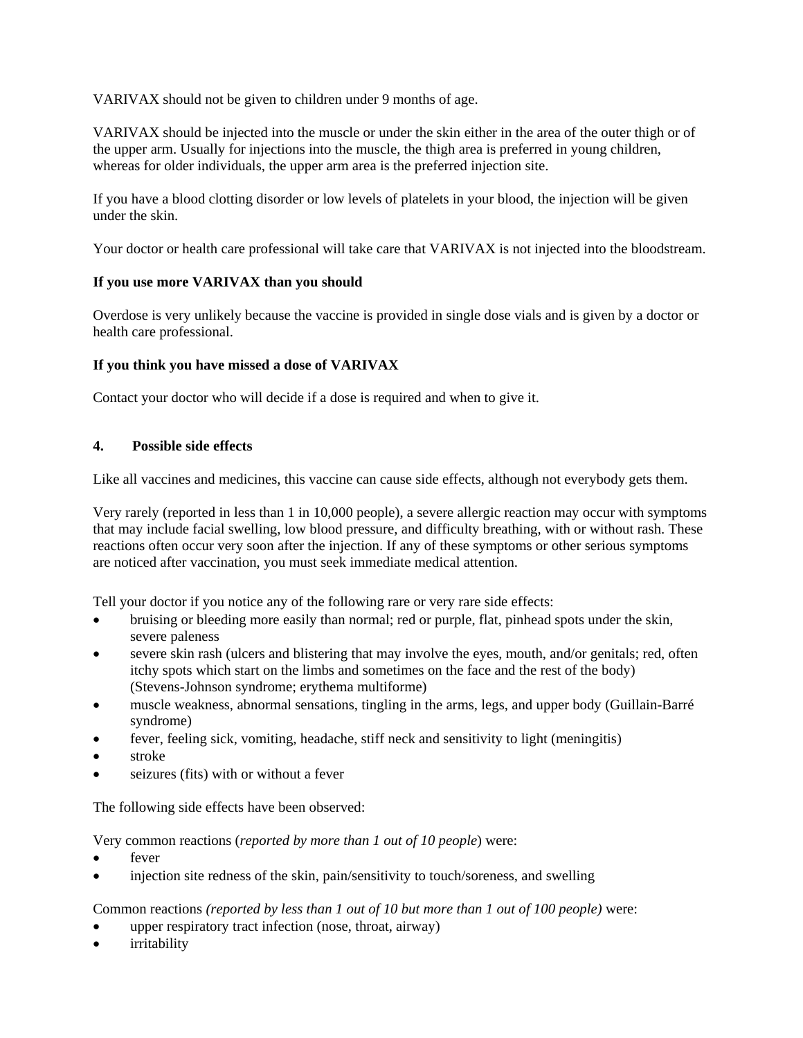VARIVAX should not be given to children under 9 months of age.

VARIVAX should be injected into the muscle or under the skin either in the area of the outer thigh or of the upper arm. Usually for injections into the muscle, the thigh area is preferred in young children, whereas for older individuals, the upper arm area is the preferred injection site.

If you have a blood clotting disorder or low levels of platelets in your blood, the injection will be given under the skin.

Your doctor or health care professional will take care that VARIVAX is not injected into the bloodstream.

## **If you use more VARIVAX than you should**

Overdose is very unlikely because the vaccine is provided in single dose vials and is given by a doctor or health care professional.

## **If you think you have missed a dose of VARIVAX**

Contact your doctor who will decide if a dose is required and when to give it.

### **4. Possible side effects**

Like all vaccines and medicines, this vaccine can cause side effects, although not everybody gets them.

Very rarely (reported in less than 1 in 10,000 people), a severe allergic reaction may occur with symptoms that may include facial swelling, low blood pressure, and difficulty breathing, with or without rash. These reactions often occur very soon after the injection. If any of these symptoms or other serious symptoms are noticed after vaccination, you must seek immediate medical attention.

Tell your doctor if you notice any of the following rare or very rare side effects:

- bruising or bleeding more easily than normal; red or purple, flat, pinhead spots under the skin, severe paleness
- severe skin rash (ulcers and blistering that may involve the eyes, mouth, and/or genitals; red, often itchy spots which start on the limbs and sometimes on the face and the rest of the body) (Stevens-Johnson syndrome; erythema multiforme)
- muscle weakness, abnormal sensations, tingling in the arms, legs, and upper body (Guillain-Barré syndrome)
- fever, feeling sick, vomiting, headache, stiff neck and sensitivity to light (meningitis)
- stroke
- seizures (fits) with or without a fever

The following side effects have been observed:

Very common reactions (*reported by more than 1 out of 10 people*) were:

- fever
- injection site redness of the skin, pain/sensitivity to touch/soreness, and swelling

Common reactions *(reported by less than 1 out of 10 but more than 1 out of 100 people)* were:

- upper respiratory tract infection (nose, throat, airway)
- irritability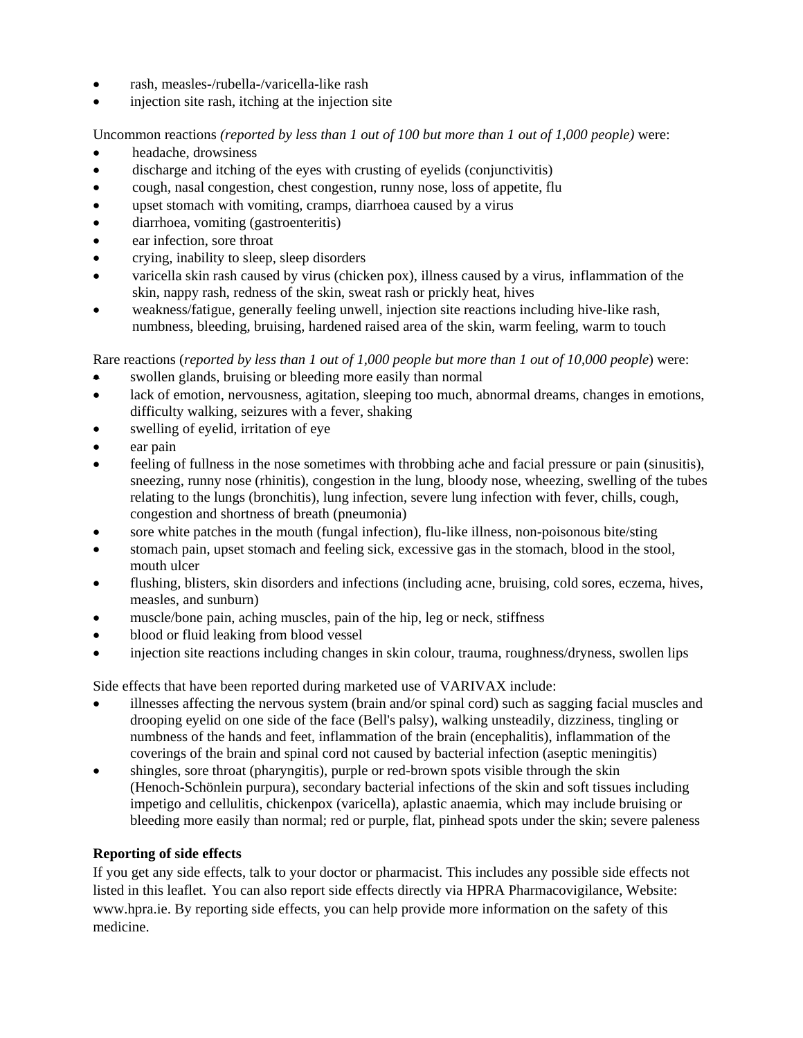- rash, measles-/rubella-/varicella-like rash
- injection site rash, itching at the injection site

Uncommon reactions *(reported by less than 1 out of 100 but more than 1 out of 1,000 people)* were:

- headache, drowsiness
- discharge and itching of the eyes with crusting of eyelids (conjunctivitis)
- cough, nasal congestion, chest congestion, runny nose, loss of appetite, flu
- upset stomach with vomiting, cramps, diarrhoea caused by a virus
- diarrhoea, vomiting (gastroenteritis)
- ear infection, sore throat
- crying, inability to sleep, sleep disorders
- varicella skin rash caused by virus (chicken pox), illness caused by a virus*,* inflammation of the skin, nappy rash, redness of the skin, sweat rash or prickly heat, hives
- weakness/fatigue, generally feeling unwell, injection site reactions including hive-like rash, numbness, bleeding, bruising, hardened raised area of the skin, warm feeling, warm to touch

Rare reactions (*reported by less than 1 out of 1,000 people but more than 1 out of 10,000 people*) were:

- swollen glands, bruising or bleeding more easily than normal
- lack of emotion, nervousness, agitation, sleeping too much, abnormal dreams, changes in emotions, difficulty walking, seizures with a fever, shaking
- swelling of eyelid, irritation of eye
- ear pain
- feeling of fullness in the nose sometimes with throbbing ache and facial pressure or pain (sinusitis), sneezing, runny nose (rhinitis), congestion in the lung, bloody nose, wheezing, swelling of the tubes relating to the lungs (bronchitis), lung infection, severe lung infection with fever, chills, cough, congestion and shortness of breath (pneumonia)
- sore white patches in the mouth (fungal infection), flu-like illness, non-poisonous bite/sting
- stomach pain, upset stomach and feeling sick, excessive gas in the stomach, blood in the stool, mouth ulcer
- flushing, blisters, skin disorders and infections (including acne, bruising, cold sores, eczema, hives, measles, and sunburn)
- muscle/bone pain, aching muscles, pain of the hip, leg or neck, stiffness
- blood or fluid leaking from blood vessel
- injection site reactions including changes in skin colour, trauma, roughness/dryness, swollen lips

Side effects that have been reported during marketed use of VARIVAX include:

- illnesses affecting the nervous system (brain and/or spinal cord) such as sagging facial muscles and drooping eyelid on one side of the face (Bell's palsy), walking unsteadily, dizziness, tingling or numbness of the hands and feet, inflammation of the brain (encephalitis), inflammation of the coverings of the brain and spinal cord not caused by bacterial infection (aseptic meningitis)
- shingles, sore throat (pharyngitis), purple or red-brown spots visible through the skin (Henoch-Schönlein purpura), secondary bacterial infections of the skin and soft tissues including impetigo and cellulitis, chickenpox (varicella), aplastic anaemia, which may include bruising or bleeding more easily than normal; red or purple, flat, pinhead spots under the skin; severe paleness

# **Reporting of side effects**

If you get any side effects, talk to your doctor or pharmacist. This includes any possible side effects not listed in this leaflet. You can also report side effects directly via HPRA Pharmacovigilance, Website: www.hpra.ie. By reporting side effects, you can help provide more information on the safety of this medicine.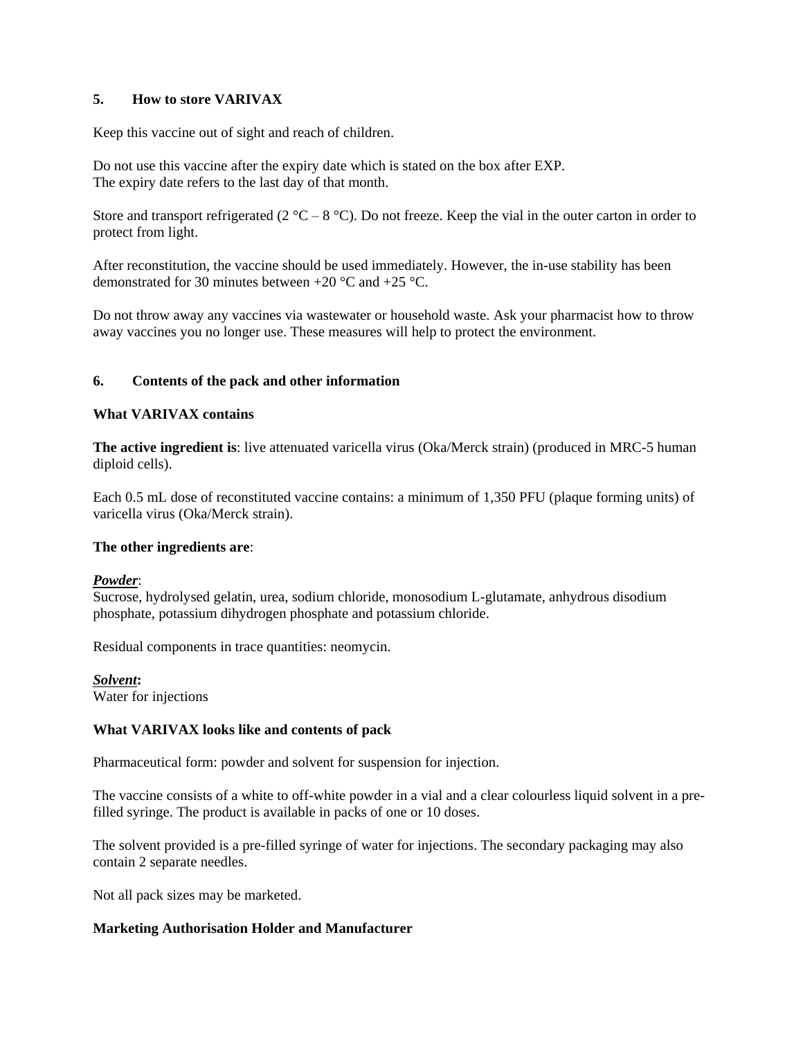## **5. How to store VARIVAX**

Keep this vaccine out of sight and reach of children.

Do not use this vaccine after the expiry date which is stated on the box after EXP. The expiry date refers to the last day of that month.

Store and transport refrigerated (2  $^{\circ}$ C – 8  $^{\circ}$ C). Do not freeze. Keep the vial in the outer carton in order to protect from light.

After reconstitution, the vaccine should be used immediately. However, the in-use stability has been demonstrated for 30 minutes between +20 °C and +25 °C.

Do not throw away any vaccines via wastewater or household waste. Ask your pharmacist how to throw away vaccines you no longer use. These measures will help to protect the environment.

### **6. Contents of the pack and other information**

### **What VARIVAX contains**

**The active ingredient is:** live attenuated varicella virus (Oka/Merck strain) (produced in MRC-5 human diploid cells).

Each 0.5 mL dose of reconstituted vaccine contains: a minimum of 1,350 PFU (plaque forming units) of varicella virus (Oka/Merck strain).

#### **The other ingredients are**:

#### *Powder*:

Sucrose, hydrolysed gelatin, urea, sodium chloride, monosodium L-glutamate, anhydrous disodium phosphate, potassium dihydrogen phosphate and potassium chloride.

Residual components in trace quantities: neomycin.

*Solvent***:** Water for injections

## **What VARIVAX looks like and contents of pack**

Pharmaceutical form: powder and solvent for suspension for injection.

The vaccine consists of a white to off-white powder in a vial and a clear colourless liquid solvent in a prefilled syringe. The product is available in packs of one or 10 doses.

The solvent provided is a pre-filled syringe of water for injections. The secondary packaging may also contain 2 separate needles.

Not all pack sizes may be marketed.

### **Marketing Authorisation Holder and Manufacturer**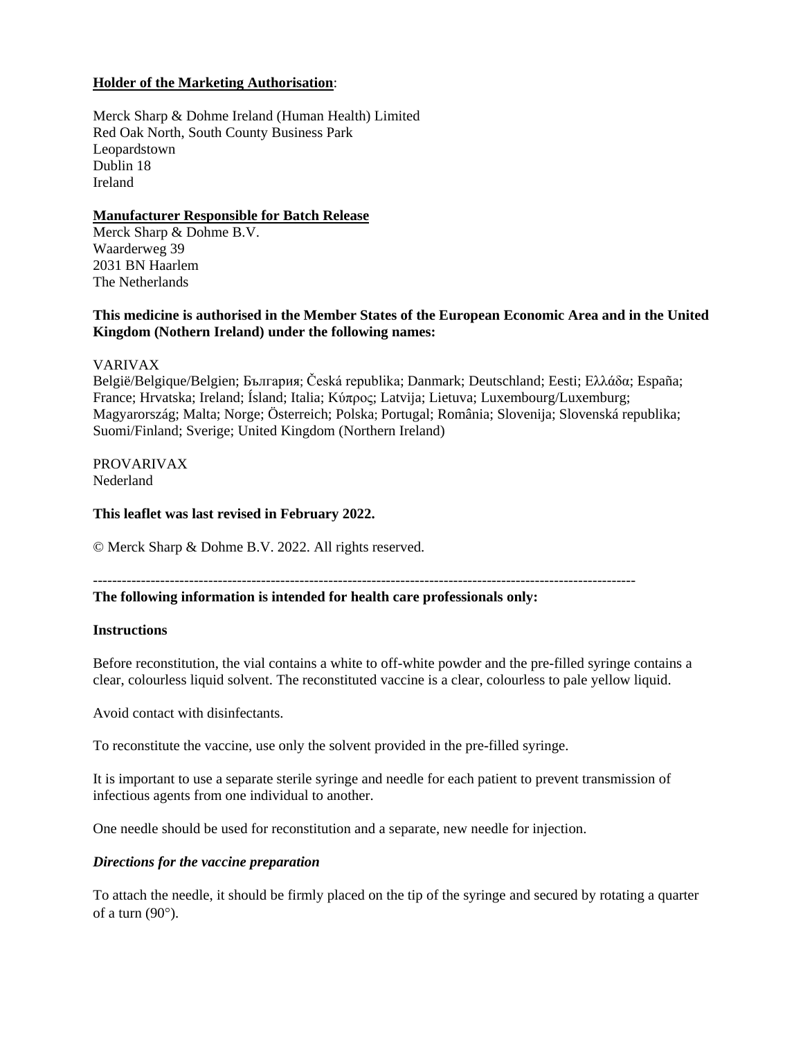## **Holder of the Marketing Authorisation**:

Merck Sharp & Dohme Ireland (Human Health) Limited Red Oak North, South County Business Park Leopardstown Dublin 18 Ireland

### **Manufacturer Responsible for Batch Release**

Merck Sharp & Dohme B.V. Waarderweg 39 2031 BN Haarlem The Netherlands

## **This medicine is authorised in the Member States of the European Economic Area and in the United Kingdom (Nothern Ireland) under the following names:**

VARIVAX

België/Belgique/Belgien; България; Česká republika; Danmark; Deutschland; Eesti; Ελλάδα; España; France; Hrvatska; Ireland; Ísland; Italia; Kύπρος; Latvija; Lietuva; Luxembourg/Luxemburg; Magyarország; Malta; Norge; Österreich; Polska; Portugal; România; Slovenija; Slovenská republika; Suomi/Finland; Sverige; United Kingdom (Northern Ireland)

### PROVARIVAX Nederland

### **This leaflet was last revised in February 2022.**

© Merck Sharp & Dohme B.V. 2022. All rights reserved.

-----------------------------------------------------------------------------------------------------------------

### **The following information is intended for health care professionals only:**

#### **Instructions**

Before reconstitution, the vial contains a white to off-white powder and the pre-filled syringe contains a clear, colourless liquid solvent. The reconstituted vaccine is a clear, colourless to pale yellow liquid.

Avoid contact with disinfectants.

To reconstitute the vaccine, use only the solvent provided in the pre-filled syringe.

It is important to use a separate sterile syringe and needle for each patient to prevent transmission of infectious agents from one individual to another.

One needle should be used for reconstitution and a separate, new needle for injection.

### *Directions for the vaccine preparation*

To attach the needle, it should be firmly placed on the tip of the syringe and secured by rotating a quarter of a turn  $(90^{\circ})$ .